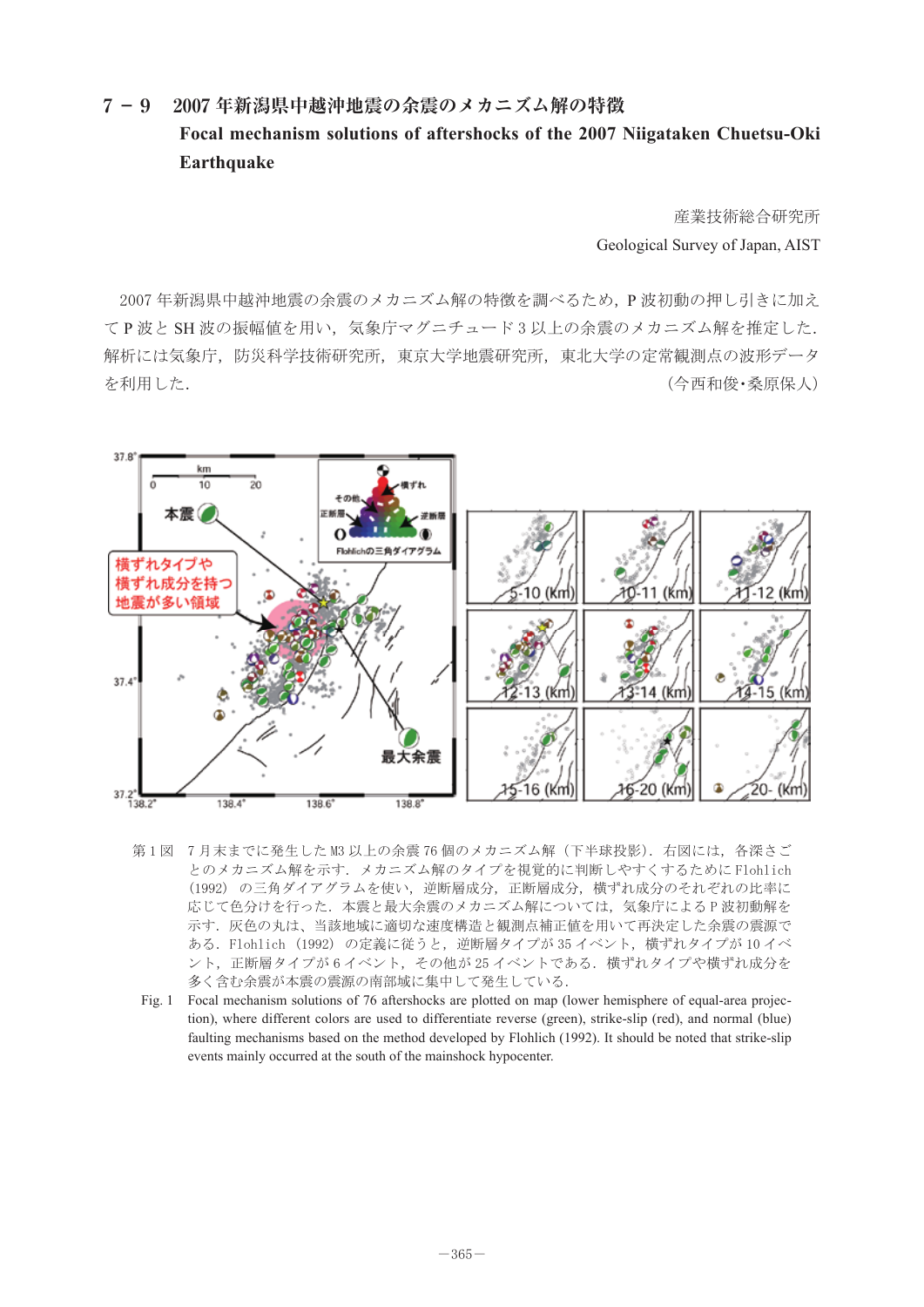## Focal mechanism solutions of aftershocks of the 2007 Niigataken Chuetsu-Oki **7 -9 2007 年新潟県中越沖地震の余震のメカニズム解の特徴 Earthquake**

Geological Survey of Japan, AIST 産業技術総合研究所

てP波と SH 波の振幅値を用い、気象庁マグニチュード3以上の余震のメカニズム解を推定した. 解析には気象庁,防災科学技術研究所,東京大学地震研究所,東北大学の定常観測点の波形データ を利用した. おおろん ころのころ ころには かんこう かんこう しゅうしょく (今西和俊・桑原保人) 2007 年新潟県中越沖地震の余震のメカニズム解の特徴を調べるため,P 波初動の押し引きに加え



- 第1図 7月末までに発生した M3 以上の余震 76 個のメカニズム解(下半球投影).右図には,各深さご とのメカニズム解を示す.メカニズム解のタイプを視覚的に判断しやすくするために Flohlich √1552/ ジニдノイノノンコを及い,をബ着成力,正副着成力,似ぅれ成力ジとれてれる250元平に<br>応じて色分けを行った. 本震と最大余震のメカニズム解については,気象庁による P 波初動解を 示す.灰色の丸は、当該地域に適切な速度構造と観測点補正値を用いて再決定した余震の震源で ∞๑.rionfich (1992) のに我ににフこ,远吻眉フィンか 55 イベント,快 9 40フインか 10 イベ<br>ント,正断層タイプが 6 イベント,その他が 25 イベントである.横ずれタイプや横ずれ成分を 多く含む余震が本震の震源の南部域に集中して発生している. (1992) の三角ダイアグラムを使い,逆断層成分,正断層成分,横ずれ成分のそれぞれの比率に ある.Flohlich (1992) の定義に従うと,逆断層タイプが 35 イベント,横ずれタイプが 10 イベ
- rig. The rocal inechalism solutions of 70 anershocks are plotted on map (lower hemisphere of equal-area projection), where different colors are used to differentiate reverse (green), strike-slip (red), and normal (blue) faulting mechanisms based on the method developed by Flohlich (1992). It should be noted that strike-slip Fig. 1 Focal mechanism solutions of 76 aftershocks are plotted on map (lower hemisphere of equal-area projecevents mainly occurred at the south of the mainshock hypocenter.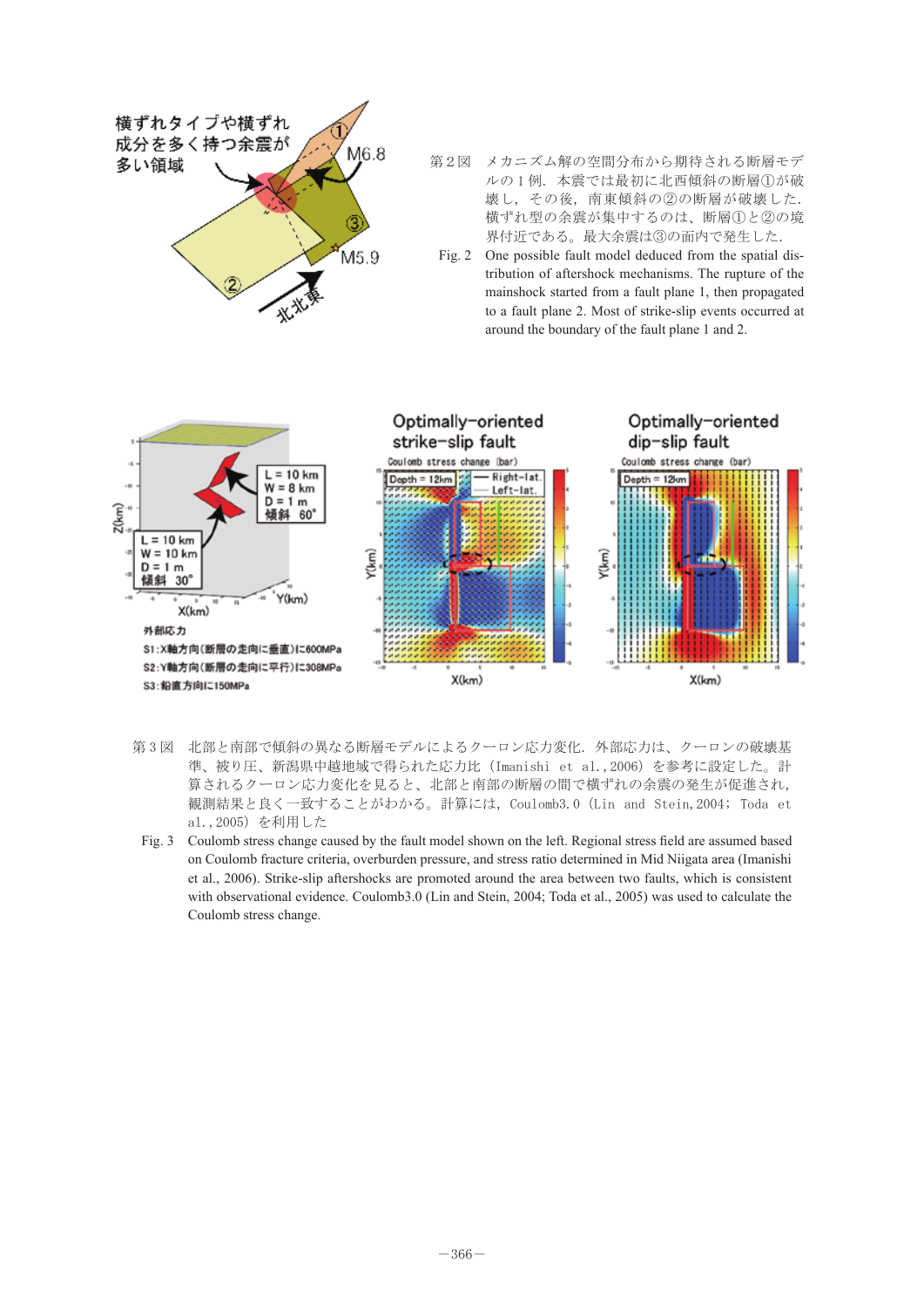

- プッーハム舟♡ヱ间刀加から<del>別付</del>セれる*剛層モノ*<br>ルの1例.本震では最初に北西傾斜の断層①が破 ߩԙߣᢿጀԘޔߪߩࠆߔ㓸ਛ߇㔡ߩဳࠇߕ㧚ᮮߚ Fig. 2 One possible fault model deduced from the 壊し,その後,南東傾斜の②の断層が破壊した. <sub>似?れとエンボ展が来す?ついは、*剛直しとし*い免<br>界付近である。最大余震は③の面内で発生した.</sub> Ⴚ⇇ઃㄭޕࠆߢᦨᄢ㔡ߪԚߩ㕙ౝߢ↢⊑ߚߒ㧚 第2図 メカニズム解の空間分布から期待される断層モデ 横ずれ型の余震が集中するのは、断層①と②の境
	- mainshock started from a fault plane 1, then propagated mainshock started from a fault plane 1, then propagated to a fault plane 2. Most of strike-slip events occurred at around the boundary of the fault plane 1 and 2. Fig. 2 One possible fault model deduced from the spatial distribution of aftershock mechanisms. The rupture of the



- 観測結果と良く一致することがわかる。計算には, Coulomb3.0 (Lin and Stein,2004; Toda et<br>。1 2005\☆利用した <del>yi</del> 3 凶 孔印と田印 C政府の共なる副層モノルによるフェロン心力を1L. フr印心力は、フェロンの破象塞<br>準、被り圧、新潟県中越地域で得られた応力比 (Imanishi et al.,2006) を参考に設定した。計 算されるクーロン応力変化を見ると、北部と南部の断層の間で横ずれの余震の発生が促進され, 第3図 北部と南部で傾斜の異なる断層モデルによるクーロン応力変化. 外部応力は、クーロンの破壊基 al.,2005)を利用した
- Fig. 3 Coulomb stress change caused by the fault model shown on the left. Regional stress field are assumed based ᨐ᷹⚿ⷰ㧘ࠇߐଦㅴ߇↢⊑ߩ㔡ߩࠇߕᮮߢ㑆ߩᢿጀߩධㇱߣർㇱޔߣࠆࠍᔕജᄌൻࡦࡠࠢࠆࠇ on Coulomb fracture criteria, overburden pressure, and stress ratio determined in Mid Niigata area (Imanishi with observational evidence. Coulomb3.0 (Lin and Stein, 2004; Toda et al., 2005) was used to calculate the based on Coulomb fracture criteria, overburden pressure, and stress ratio determined in Mid Niigata area et al., 2006). Strike-slip aftershocks are promoted around the area between two faults, which is consistent Coulomb stress change.